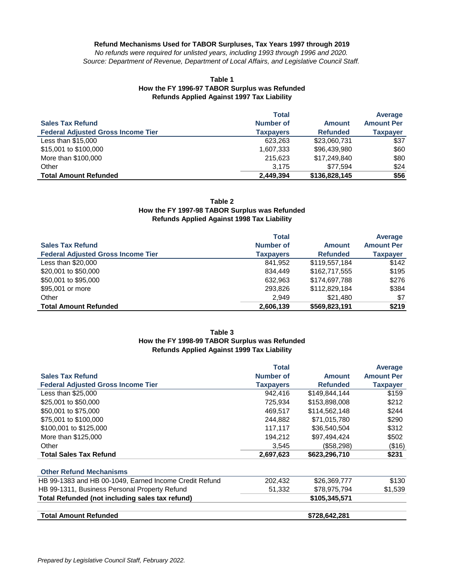#### **Refund Mechanisms Used for TABOR Surpluses, Tax Years 1997 through 2019**

*No refunds were required for unlisted years, including 1993 through 1996 and 2020. Source: Department of Revenue, Department of Local Affairs, and Legislative Council Staff.*

#### **Table 1 How the FY 1996-97 TABOR Surplus was Refunded Refunds Applied Against 1997 Tax Liability**

|                                           | <b>Total</b>     |                 | Average           |
|-------------------------------------------|------------------|-----------------|-------------------|
| <b>Sales Tax Refund</b>                   | <b>Number of</b> | <b>Amount</b>   | <b>Amount Per</b> |
| <b>Federal Adjusted Gross Income Tier</b> | <b>Taxpayers</b> | <b>Refunded</b> | <b>Taxpayer</b>   |
| Less than $$15,000$                       | 623.263          | \$23,060,731    | \$37              |
| \$15,001 to \$100,000                     | 1,607,333        | \$96,439,980    | \$60              |
| More than \$100,000                       | 215,623          | \$17,249,840    | \$80              |
| Other                                     | 3.175            | \$77,594        | \$24              |
| <b>Total Amount Refunded</b>              | 2,449,394        | \$136,828,145   | \$56              |

#### **Table 2 How the FY 1997-98 TABOR Surplus was Refunded Refunds Applied Against 1998 Tax Liability**

|                                           | <b>Total</b>     |                 | Average           |
|-------------------------------------------|------------------|-----------------|-------------------|
| <b>Sales Tax Refund</b>                   | Number of        | <b>Amount</b>   | <b>Amount Per</b> |
| <b>Federal Adjusted Gross Income Tier</b> | <b>Taxpayers</b> | <b>Refunded</b> | <b>Taxpayer</b>   |
| Less than \$20,000                        | 841,952          | \$119,557,184   | \$142             |
| \$20,001 to \$50,000                      | 834,449          | \$162,717,555   | \$195             |
| \$50,001 to \$95,000                      | 632,963          | \$174,697,788   | \$276             |
| \$95,001 or more                          | 293,826          | \$112,829,184   | \$384             |
| Other                                     | 2,949            | \$21,480        | \$7               |
| <b>Total Amount Refunded</b>              | 2,606,139        | \$569,823,191   | \$219             |

# **Refunds Applied Against 1999 Tax Liability Table 3 How the FY 1998-99 TABOR Surplus was Refunded**

|                                                        | <b>Total</b>     |                 | Average           |
|--------------------------------------------------------|------------------|-----------------|-------------------|
| <b>Sales Tax Refund</b>                                | Number of        | <b>Amount</b>   | <b>Amount Per</b> |
| <b>Federal Adjusted Gross Income Tier</b>              | <b>Taxpayers</b> | <b>Refunded</b> | <b>Taxpayer</b>   |
| Less than \$25,000                                     | 942,416          | \$149,844,144   | \$159             |
| \$25,001 to \$50,000                                   | 725,934          | \$153,898,008   | \$212             |
| \$50,001 to \$75,000                                   | 469,517          | \$114,562,148   | \$244             |
| \$75,001 to \$100,000                                  | 244.882          | \$71,015,780    | \$290             |
| \$100,001 to \$125,000                                 | 117,117          | \$36,540,504    | \$312             |
| More than \$125,000                                    | 194.212          | \$97,494,424    | \$502             |
| Other                                                  | 3,545            | (\$58,298)      | (\$16)            |
| <b>Total Sales Tax Refund</b>                          | 2,697,623        | \$623,296,710   | \$231             |
| <b>Other Refund Mechanisms</b>                         |                  |                 |                   |
| HB 99-1383 and HB 00-1049, Earned Income Credit Refund | 202,432          | \$26,369,777    | \$130             |
| HB 99-1311, Business Personal Property Refund          | 51,332           | \$78,975,794    | \$1,539           |
| Total Refunded (not including sales tax refund)        |                  | \$105,345,571   |                   |
| <b>Total Amount Refunded</b>                           |                  | \$728,642,281   |                   |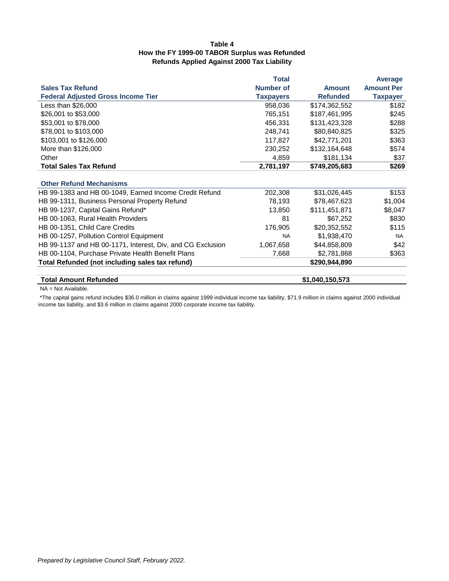# **Refunds Applied Against 2000 Tax Liability Table 4 How the FY 1999-00 TABOR Surplus was Refunded**

|                                                            | <b>Total</b>     |                 | Average           |
|------------------------------------------------------------|------------------|-----------------|-------------------|
| <b>Sales Tax Refund</b>                                    | <b>Number of</b> | <b>Amount</b>   | <b>Amount Per</b> |
| <b>Federal Adjusted Gross Income Tier</b>                  | <b>Taxpayers</b> | <b>Refunded</b> | <b>Taxpayer</b>   |
| Less than \$26,000                                         | 958,036          | \$174,362,552   | \$182             |
| \$26,001 to \$53,000                                       | 765,151          | \$187,461,995   | \$245             |
| \$53,001 to \$78,000                                       | 456,331          | \$131,423,328   | \$288             |
| \$78,001 to \$103,000                                      | 248,741          | \$80,840,825    | \$325             |
| \$103,001 to \$126,000                                     | 117,827          | \$42,771,201    | \$363             |
| More than \$126,000                                        | 230,252          | \$132,164,648   | \$574             |
| Other                                                      | 4,859            | \$181,134       | \$37              |
| <b>Total Sales Tax Refund</b>                              | 2,781,197        | \$749,205,683   | \$269             |
|                                                            |                  |                 |                   |
| <b>Other Refund Mechanisms</b>                             |                  |                 |                   |
| HB 99-1383 and HB 00-1049, Earned Income Credit Refund     | 202,308          | \$31,026,445    | \$153             |
| HB 99-1311, Business Personal Property Refund              | 78,193           | \$78,467,623    | \$1,004           |
| HB 99-1237, Capital Gains Refund*                          | 13,850           | \$111,451,871   | \$8,047           |
| HB 00-1063, Rural Health Providers                         | 81               | \$67,252        | \$830             |
| HB 00-1351, Child Care Credits                             | 176,905          | \$20,352,552    | \$115             |
| HB 00-1257, Pollution Control Equipment                    | <b>NA</b>        | \$1,938,470     | <b>NA</b>         |
| HB 99-1137 and HB 00-1171, Interest, Div, and CG Exclusion | 1,067,658        | \$44,858,809    | \$42              |
| HB 00-1104, Purchase Private Health Benefit Plans          | 7,668            | \$2,781,868     | \$363             |
| Total Refunded (not including sales tax refund)            |                  | \$290,944,890   |                   |
| <b>Total Amount Refunded</b>                               |                  | \$1,040,150,573 |                   |

NA = Not Available.

 \*The capital gains refund includes \$36.0 million in claims against 1999 individual income tax liability, \$71.9 million in claims against 2000 individual income tax liability, and \$3.6 million in claims against 2000 corporate income tax liability.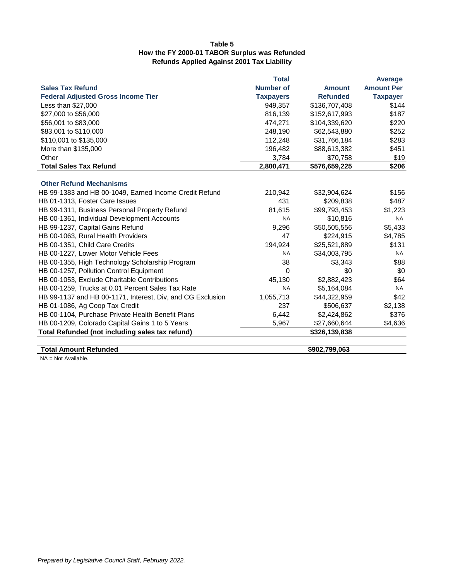# **Table 5 How the FY 2000-01 TABOR Surplus was Refunded Refunds Applied Against 2001 Tax Liability**

|                                                            | <b>Total</b>     |                 | <b>Average</b>    |
|------------------------------------------------------------|------------------|-----------------|-------------------|
| <b>Sales Tax Refund</b>                                    | <b>Number of</b> | <b>Amount</b>   | <b>Amount Per</b> |
| <b>Federal Adjusted Gross Income Tier</b>                  | <b>Taxpayers</b> | <b>Refunded</b> | <b>Taxpayer</b>   |
| Less than \$27,000                                         | 949,357          | \$136,707,408   | \$144             |
| \$27,000 to \$56,000                                       | 816,139          | \$152,617,993   | \$187             |
| \$56,001 to \$83,000                                       | 474,271          | \$104,339,620   | \$220             |
| \$83,001 to \$110,000                                      | 248,190          | \$62,543,880    | \$252             |
| \$110,001 to \$135,000                                     | 112,248          | \$31,766,184    | \$283             |
| More than \$135,000                                        | 196,482          | \$88,613,382    | \$451             |
| Other                                                      | 3,784            | \$70,758        | \$19              |
| <b>Total Sales Tax Refund</b>                              | 2,800,471        | \$576,659,225   | \$206             |
|                                                            |                  |                 |                   |
| <b>Other Refund Mechanisms</b>                             |                  |                 |                   |
| HB 99-1383 and HB 00-1049, Earned Income Credit Refund     | 210,942          | \$32,904,624    | \$156             |
| HB 01-1313, Foster Care Issues                             | 431              | \$209,838       | \$487             |
| HB 99-1311, Business Personal Property Refund              | 81,615           | \$99,793,453    | \$1,223           |
| HB 00-1361, Individual Development Accounts                | <b>NA</b>        | \$10,816        | <b>NA</b>         |
| HB 99-1237, Capital Gains Refund                           | 9,296            | \$50,505,556    | \$5,433           |
| HB 00-1063, Rural Health Providers                         | 47               | \$224,915       | \$4,785           |
| HB 00-1351, Child Care Credits                             | 194,924          | \$25,521,889    | \$131             |
| HB 00-1227, Lower Motor Vehicle Fees                       | <b>NA</b>        | \$34,003,795    | <b>NA</b>         |
| HB 00-1355, High Technology Scholarship Program            | 38               | \$3,343         | \$88              |
| HB 00-1257, Pollution Control Equipment                    | $\Omega$         | \$0             | \$0               |
| HB 00-1053, Exclude Charitable Contributions               | 45,130           | \$2,882,423     | \$64              |
| HB 00-1259, Trucks at 0.01 Percent Sales Tax Rate          | <b>NA</b>        | \$5,164,084     | <b>NA</b>         |
| HB 99-1137 and HB 00-1171, Interest, Div, and CG Exclusion | 1,055,713        | \$44,322,959    | \$42              |
| HB 01-1086, Ag Coop Tax Credit                             | 237              | \$506,637       | \$2,138           |
| HB 00-1104, Purchase Private Health Benefit Plans          | 6,442            | \$2,424,862     | \$376             |
| HB 00-1209, Colorado Capital Gains 1 to 5 Years            | 5,967            | \$27,660,644    | \$4,636           |
| Total Refunded (not including sales tax refund)            |                  | \$326,139,838   |                   |
|                                                            |                  |                 |                   |
| <b>Total Amount Refunded</b>                               |                  | \$902,799,063   |                   |

NA = Not Available.